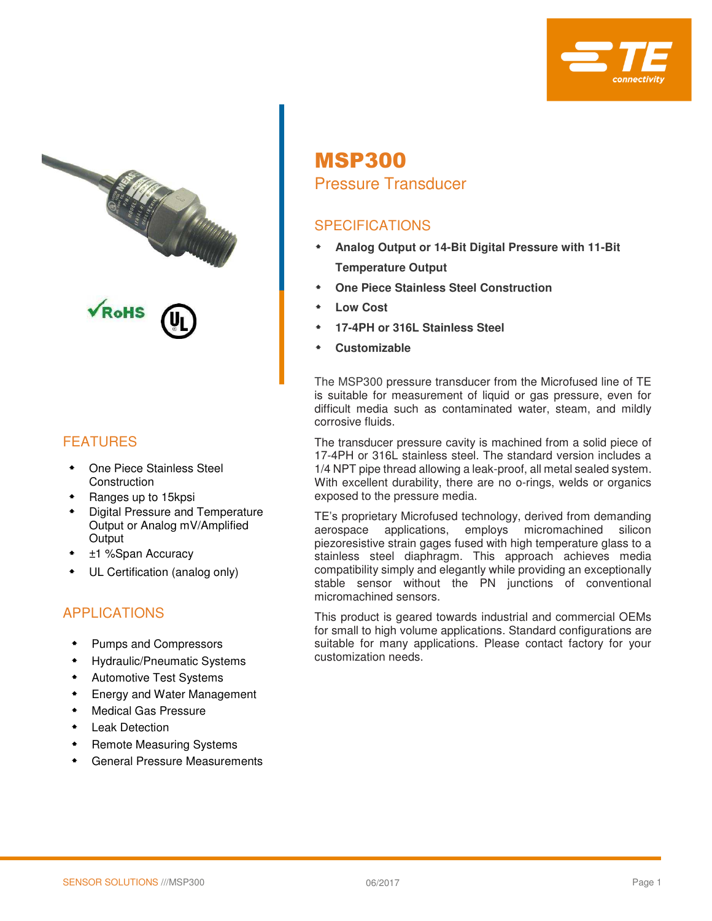



### FEATURES

- One Piece Stainless Steel **Construction**
- Ranges up to 15kpsi
- Digital Pressure and Temperature Output or Analog mV/Amplified **Output**
- ±1 %Span Accuracy
- UL Certification (analog only)

#### APPLICATIONS

- Pumps and Compressors
- Hydraulic/Pneumatic Systems
- Automotive Test Systems
- **Energy and Water Management**
- Medical Gas Pressure
- Leak Detection
- Remote Measuring Systems
- General Pressure Measurements

# MSP300

### Pressure Transducer

### **SPECIFICATIONS**

- **Analog Output or 14-Bit Digital Pressure with 11-Bit Temperature Output**
- **One Piece Stainless Steel Construction**
- **Low Cost**
- **17-4PH or 316L Stainless Steel**
- **Customizable**

The MSP300 pressure transducer from the Microfused line of TE is suitable for measurement of liquid or gas pressure, even for difficult media such as contaminated water, steam, and mildly corrosive fluids.

The transducer pressure cavity is machined from a solid piece of 17-4PH or 316L stainless steel. The standard version includes a 1/4 NPT pipe thread allowing a leak-proof, all metal sealed system. With excellent durability, there are no o-rings, welds or organics exposed to the pressure media.

TE's proprietary Microfused technology, derived from demanding aerospace applications, employs micromachined silicon piezoresistive strain gages fused with high temperature glass to a stainless steel diaphragm. This approach achieves media compatibility simply and elegantly while providing an exceptionally stable sensor without the PN junctions of conventional micromachined sensors.

This product is geared towards industrial and commercial OEMs for small to high volume applications. Standard configurations are suitable for many applications. Please contact factory for your customization needs.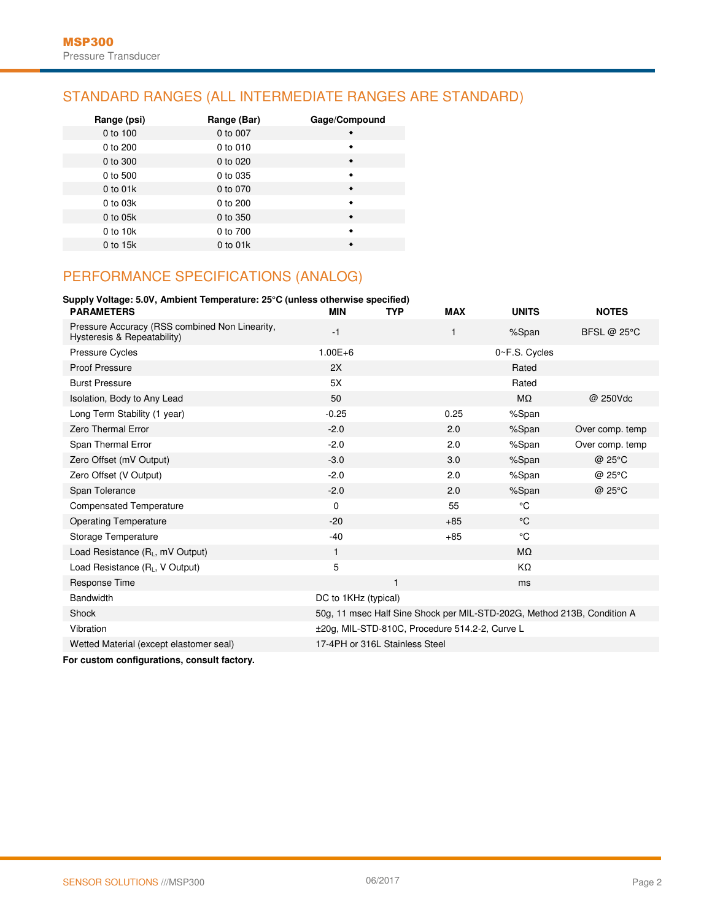#### STANDARD RANGES (ALL INTERMEDIATE RANGES ARE STANDARD)

| Range (psi)  | Range (Bar) | Gage/Compound   |
|--------------|-------------|-----------------|
| 0 to 100     | 0 to 007    | $\bullet$       |
| 0 to 200     | 0 to 010    | ٠               |
| 0 to 300     | 0 to 020    | $\blacklozenge$ |
| 0 to 500     | 0 to 035    | ٠               |
| $0$ to $01k$ | 0 to 070    | $\bullet$       |
| 0 to 03k     | 0 to 200    | ٠               |
| 0 to 05k     | 0 to 350    | $\bullet$       |
| 0 to 10k     | 0 to 700    | $\bullet$       |
| 0 to 15k     | 0 to 01k    | $\bullet$       |

#### PERFORMANCE SPECIFICATIONS (ANALOG)

#### **Supply Voltage: 5.0V, Ambient Temperature: 25°C (unless otherwise specified)**

| <b>PARAMETERS</b>                                                             | <b>MIN</b>                     | <b>TYP</b> | <b>MAX</b>                                     | <b>UNITS</b>                                                            | <b>NOTES</b>       |
|-------------------------------------------------------------------------------|--------------------------------|------------|------------------------------------------------|-------------------------------------------------------------------------|--------------------|
| Pressure Accuracy (RSS combined Non Linearity,<br>Hysteresis & Repeatability) | $-1$                           |            | 1                                              | %Span                                                                   | <b>BFSL @ 25°C</b> |
| <b>Pressure Cycles</b>                                                        | $1.00E + 6$                    |            |                                                | 0~F.S. Cycles                                                           |                    |
| <b>Proof Pressure</b>                                                         | 2X                             |            |                                                | Rated                                                                   |                    |
| <b>Burst Pressure</b>                                                         | 5X                             |            |                                                | Rated                                                                   |                    |
| Isolation, Body to Any Lead                                                   | 50                             |            |                                                | $M\Omega$                                                               | @ 250Vdc           |
| Long Term Stability (1 year)                                                  | $-0.25$                        |            | 0.25                                           | %Span                                                                   |                    |
| Zero Thermal Error                                                            | $-2.0$                         |            | 2.0                                            | %Span                                                                   | Over comp. temp    |
| Span Thermal Error                                                            | $-2.0$                         |            | 2.0                                            | %Span                                                                   | Over comp. temp    |
| Zero Offset (mV Output)                                                       | $-3.0$                         |            | 3.0                                            | %Span                                                                   | @ 25°C             |
| Zero Offset (V Output)                                                        | $-2.0$                         |            | 2.0                                            | %Span                                                                   | @ 25°C             |
| Span Tolerance                                                                | $-2.0$                         |            | 2.0                                            | %Span                                                                   | @ 25°C             |
| <b>Compensated Temperature</b>                                                | 0                              |            | 55                                             | °C                                                                      |                    |
| <b>Operating Temperature</b>                                                  | $-20$                          |            | $+85$                                          | $^{\circ}$ C                                                            |                    |
| Storage Temperature                                                           | $-40$                          |            | $+85$                                          | °C                                                                      |                    |
| Load Resistance $(R_L, mV$ Output)                                            | $\mathbf{1}$                   |            |                                                | $M\Omega$                                                               |                    |
| Load Resistance (RL, V Output)                                                | 5                              |            |                                                | KΩ                                                                      |                    |
| Response Time                                                                 |                                | 1          |                                                | ms                                                                      |                    |
| <b>Bandwidth</b>                                                              | DC to 1KHz (typical)           |            |                                                |                                                                         |                    |
| Shock                                                                         |                                |            |                                                | 50g, 11 msec Half Sine Shock per MIL-STD-202G, Method 213B, Condition A |                    |
| Vibration                                                                     |                                |            | ±20g, MIL-STD-810C, Procedure 514.2-2, Curve L |                                                                         |                    |
| Wetted Material (except elastomer seal)                                       | 17-4PH or 316L Stainless Steel |            |                                                |                                                                         |                    |
|                                                                               |                                |            |                                                |                                                                         |                    |

**For custom configurations, consult factory.**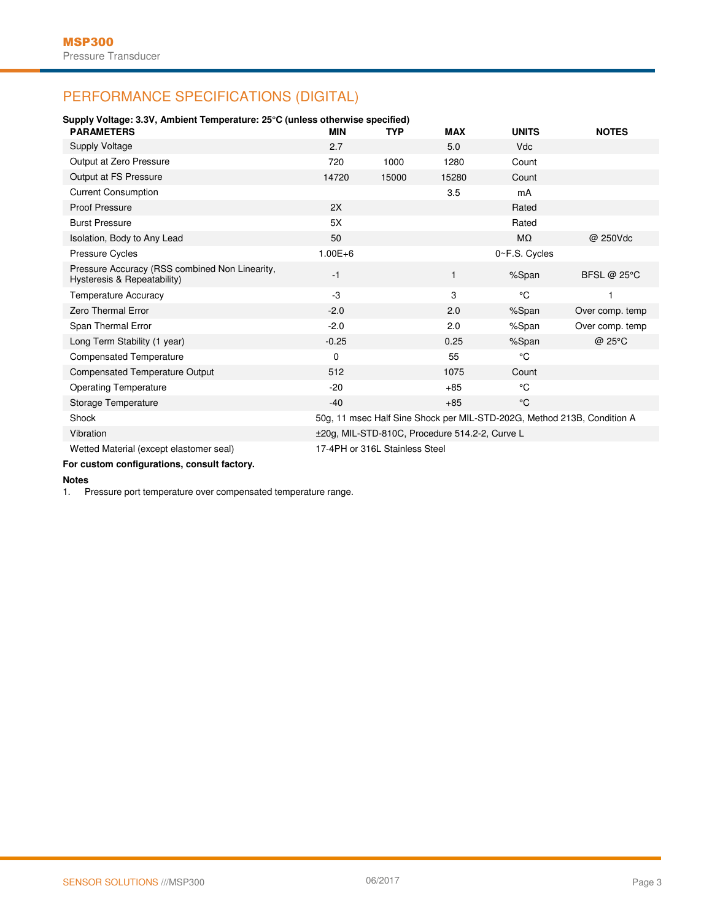### PERFORMANCE SPECIFICATIONS (DIGITAL)

| Supply Voltage: 3.3V, Ambient Temperature: 25°C (unless otherwise specified)  |             |                                |                                                |                                                                         |                    |  |  |  |  |  |  |
|-------------------------------------------------------------------------------|-------------|--------------------------------|------------------------------------------------|-------------------------------------------------------------------------|--------------------|--|--|--|--|--|--|
| <b>PARAMETERS</b>                                                             | <b>MIN</b>  | <b>TYP</b>                     | <b>MAX</b>                                     | <b>UNITS</b>                                                            | <b>NOTES</b>       |  |  |  |  |  |  |
| Supply Voltage                                                                | 2.7         |                                | 5.0                                            | <b>Vdc</b>                                                              |                    |  |  |  |  |  |  |
| Output at Zero Pressure                                                       | 720         | 1000                           | 1280                                           | Count                                                                   |                    |  |  |  |  |  |  |
| Output at FS Pressure                                                         | 14720       | 15000                          | 15280                                          | Count                                                                   |                    |  |  |  |  |  |  |
| <b>Current Consumption</b>                                                    |             |                                | 3.5                                            | mA                                                                      |                    |  |  |  |  |  |  |
| <b>Proof Pressure</b>                                                         | 2X          |                                |                                                | Rated                                                                   |                    |  |  |  |  |  |  |
| <b>Burst Pressure</b>                                                         | 5X          |                                |                                                | Rated                                                                   |                    |  |  |  |  |  |  |
| Isolation, Body to Any Lead                                                   | 50          |                                |                                                | $M\Omega$                                                               | @ 250Vdc           |  |  |  |  |  |  |
| <b>Pressure Cycles</b>                                                        | $1.00E + 6$ |                                |                                                | 0~F.S. Cycles                                                           |                    |  |  |  |  |  |  |
| Pressure Accuracy (RSS combined Non Linearity,<br>Hysteresis & Repeatability) | $-1$        |                                | $\mathbf{1}$                                   | %Span                                                                   | <b>BFSL @ 25°C</b> |  |  |  |  |  |  |
| <b>Temperature Accuracy</b>                                                   | -3          |                                | 3                                              | °C                                                                      |                    |  |  |  |  |  |  |
| <b>Zero Thermal Error</b>                                                     | $-2.0$      |                                | 2.0                                            | %Span                                                                   | Over comp. temp    |  |  |  |  |  |  |
| Span Thermal Error                                                            | $-2.0$      |                                | 2.0                                            | %Span                                                                   | Over comp. temp    |  |  |  |  |  |  |
| Long Term Stability (1 year)                                                  | $-0.25$     |                                | 0.25                                           | %Span                                                                   | @ 25°C             |  |  |  |  |  |  |
| <b>Compensated Temperature</b>                                                | $\mathbf 0$ |                                | 55                                             | °C                                                                      |                    |  |  |  |  |  |  |
| <b>Compensated Temperature Output</b>                                         | 512         |                                | 1075                                           | Count                                                                   |                    |  |  |  |  |  |  |
| <b>Operating Temperature</b>                                                  | $-20$       |                                | $+85$                                          | °C                                                                      |                    |  |  |  |  |  |  |
| Storage Temperature                                                           | $-40$       |                                | $+85$                                          | °C                                                                      |                    |  |  |  |  |  |  |
| Shock                                                                         |             |                                |                                                | 50g, 11 msec Half Sine Shock per MIL-STD-202G, Method 213B, Condition A |                    |  |  |  |  |  |  |
| Vibration                                                                     |             |                                | ±20g, MIL-STD-810C, Procedure 514.2-2, Curve L |                                                                         |                    |  |  |  |  |  |  |
| Wetted Material (except elastomer seal)                                       |             | 17-4PH or 316L Stainless Steel |                                                |                                                                         |                    |  |  |  |  |  |  |
|                                                                               |             |                                |                                                |                                                                         |                    |  |  |  |  |  |  |

**For custom configurations, consult factory.** 

## **Notes**

Pressure port temperature over compensated temperature range.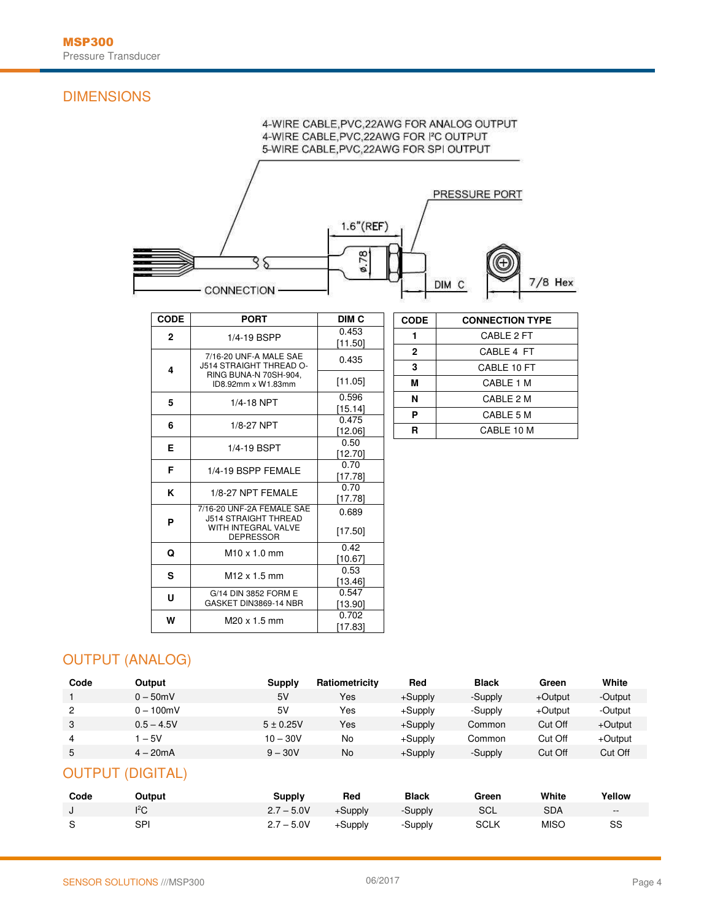#### DIMENSIONS

### 4-WIRE CABLE, PVC, 22AWG FOR ANALOG OUTPUT 4-WIRE CABLE, PVC, 22AWG FOR I'C OUTPUT 5-WIRE CABLE, PVC, 22AWG FOR SPI OUTPUT PRESSURE PORT  $1.6"$ (REF)  $0.78$ 35  $7/8$  Hex DIM C - CONNECTION

| <b>CODE</b>    | <b>PORT</b>                                              | DIM C            |
|----------------|----------------------------------------------------------|------------------|
| $\overline{2}$ | 1/4-19 BSPP                                              | 0.453<br>[11.50] |
| 4              | 7/16-20 UNF-A MALE SAE<br>J514 STRAIGHT THREAD O-        | 0.435            |
|                | RING BUNA-N 70SH-904.<br>ID8.92mm x W1.83mm              | [11.05]          |
| 5              | 1/4-18 NPT                                               | 0.596<br>[15.14] |
| 6              | 1/8-27 NPT                                               | 0.475<br>[12.06] |
| Е              | 1/4-19 BSPT                                              | 0.50<br>[12.70]  |
| F              | 1/4-19 BSPP FEMALE                                       | 0.70<br>[17.78]  |
| Κ              | 1/8-27 NPT FEMALE                                        | 0.70<br>[17.78]  |
| P              | 7/16-20 UNF-2A FEMALE SAE<br><b>J514 STRAIGHT THREAD</b> | 0.689            |
|                | WITH INTEGRAL VALVE<br><b>DEPRESSOR</b>                  | [17.50]          |
| Q              | $M10 \times 1.0$ mm                                      | 0.42<br>[10.67]  |
| S              | M <sub>12</sub> x 1.5 mm                                 | 0.53<br>[13.46]  |
| U              | G/14 DIN 3852 FORM E<br>GASKET DIN3869-14 NBR            | 0.547<br>[13.90] |
| W              | M20 x 1.5 mm                                             | 0.702<br>[17.83] |

| <b>CODE</b>  | <b>CONNECTION TYPE</b> |
|--------------|------------------------|
|              | CABLE 2 FT             |
| $\mathbf{2}$ | CABLE 4 FT             |
| 3            | CABLE 10 FT            |
| м            | CABLE 1 M              |
| N            | CABLE 2 M              |
| P            | CABLE 5 M              |
| R            | CABLE 10 M             |

### OUTPUT (ANALOG)

| Code | Output       | Supply      | Ratiometricity | Red        | <b>Black</b> | Green   | White   |
|------|--------------|-------------|----------------|------------|--------------|---------|---------|
|      | $0 - 50$ mV  | 5V          | Yes            | $+$ Supply | -Supply      | +Output | -Output |
| 2    | $0 - 100$ mV | 5V          | Yes            | $+$ Supply | -Supply      | +Output | -Output |
| 3    | $0.5 - 4.5V$ | $5 + 0.25V$ | Yes            | $+$ Supply | Common       | Cut Off | +Output |
| 4    | $-5V$        | $10 - 30V$  | No             | $+$ Supply | Common       | Cut Off | +Output |
| 5    | $4 - 20mA$   | $9 - 30V$   | No             | $+$ Supply | -Supply      | Cut Off | Cut Off |

#### OUTPUT (DIGITAL)

| Code | Output | Supply       | Red     | <b>Black</b> | Green       | White | Yellow |
|------|--------|--------------|---------|--------------|-------------|-------|--------|
|      |        | $2.7 - 5.0V$ | +Supply | -Supply      | SCL         | SDA   | $\sim$ |
| -S   | SPI    | $2.7 - 5.0V$ | +Supply | -Supply      | <b>SCLK</b> | MISC  | SS     |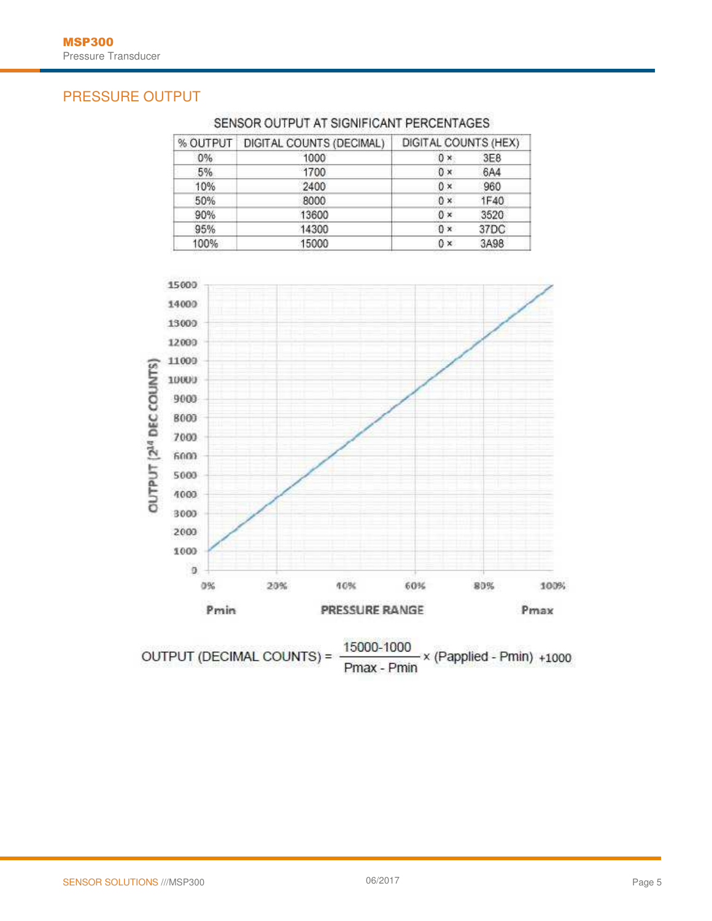#### PRESSURE OUTPUT

| % OUTPUT | DIGITAL COUNTS (DECIMAL) | DIGITAL COUNTS (HEX) |  |  |  |  |
|----------|--------------------------|----------------------|--|--|--|--|
| 0%       | 1000                     | 3E8<br>$0 \times$    |  |  |  |  |
| 5%       | 1700                     | 6A4<br>$0 \times$    |  |  |  |  |
| 10%      | 2400                     | $0 \times$<br>960    |  |  |  |  |
| 50%      | 8000                     | $0 \times$<br>1F40   |  |  |  |  |
| 90%      | 13600                    | 3520<br>$0 \times$   |  |  |  |  |
| 95%      | 14300                    | 37DC<br>$0 \times$   |  |  |  |  |
| 100%     | 15000                    | 3A98<br>$0 \times$   |  |  |  |  |

#### SENSOR OUTPUT AT SIGNIFICANT PERCENTAGES



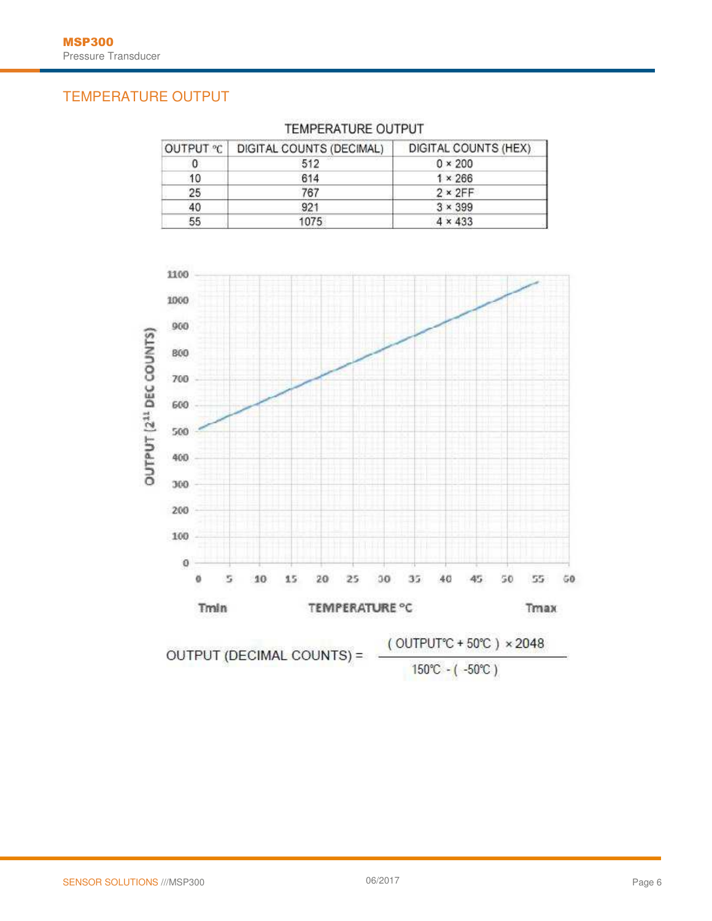### TEMPERATURE OUTPUT

| OUTPUT °C | DIGITAL COUNTS (DECIMAL) | DIGITAL COUNTS (HEX) |
|-----------|--------------------------|----------------------|
|           | 512                      | $0 \times 200$       |
| 10        | 614                      | $1 \times 266$       |
| 25        | 767                      | $2 \times 2FF$       |
| 40        | 921                      | $3 \times 399$       |
| 55        | 1075                     | $4 \times 433$       |

#### TEMPERATURE OUTPUT